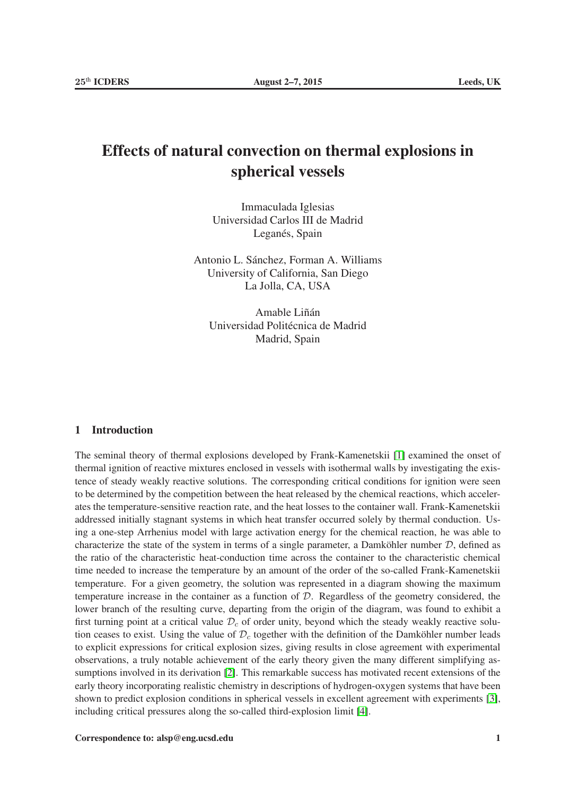# Effects of natural convection on thermal explosions in spherical vessels

Immaculada Iglesias Universidad Carlos III de Madrid Leganés, Spain

Antonio L. Sánchez, Forman A. Williams University of California, San Diego La Jolla, CA, USA

Amable Liñán Universidad Politécnica de Madrid Madrid, Spain

#### 1 Introduction

The seminal theory of thermal explosions developed by Frank-Kamenetskii [\[1\]](#page-5-0) examined the onset of thermal ignition of reactive mixtures enclosed in vessels with isothermal walls by investigating the existence of steady weakly reactive solutions. The corresponding critical conditions for ignition were seen to be determined by the competition between the heat released by the chemical reactions, which accelerates the temperature-sensitive reaction rate, and the heat losses to the container wall. Frank-Kamenetskii addressed initially stagnant systems in which heat transfer occurred solely by thermal conduction. Using a one-step Arrhenius model with large activation energy for the chemical reaction, he was able to characterize the state of the system in terms of a single parameter, a Damköhler number  $D$ , defined as the ratio of the characteristic heat-conduction time across the container to the characteristic chemical time needed to increase the temperature by an amount of the order of the so-called Frank-Kamenetskii temperature. For a given geometry, the solution was represented in a diagram showing the maximum temperature increase in the container as a function of  $D$ . Regardless of the geometry considered, the lower branch of the resulting curve, departing from the origin of the diagram, was found to exhibit a first turning point at a critical value  $\mathcal{D}_c$  of order unity, beyond which the steady weakly reactive solution ceases to exist. Using the value of  $\mathcal{D}_c$  together with the definition of the Damköhler number leads to explicit expressions for critical explosion sizes, giving results in close agreement with experimental observations, a truly notable achievement of the early theory given the many different simplifying assumptions involved in its derivation [\[2\]](#page-5-1). This remarkable success has motivated recent extensions of the early theory incorporating realistic chemistry in descriptions of hydrogen-oxygen systems that have been shown to predict explosion conditions in spherical vessels in excellent agreement with experiments [\[3\]](#page-5-2), including critical pressures along the so-called third-explosion limit [\[4\]](#page-5-3).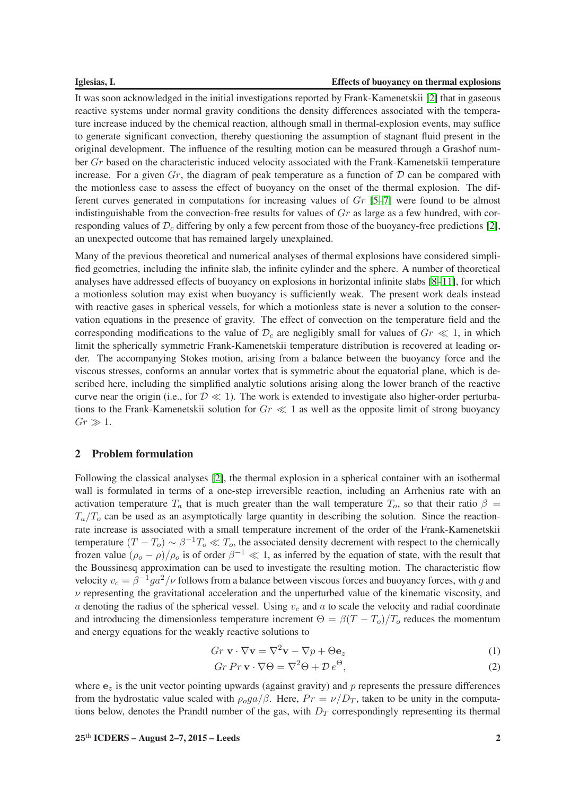#### Iglesias, I. Effects of buoyancy on thermal explosions

It was soon acknowledged in the initial investigations reported by Frank-Kamenetskii [\[2\]](#page-5-1) that in gaseous reactive systems under normal gravity conditions the density differences associated with the temperature increase induced by the chemical reaction, although small in thermal-explosion events, may suffice to generate significant convection, thereby questioning the assumption of stagnant fluid present in the original development. The influence of the resulting motion can be measured through a Grashof number Gr based on the characteristic induced velocity associated with the Frank-Kamenetskii temperature increase. For a given  $Gr$ , the diagram of peak temperature as a function of  $D$  can be compared with the motionless case to assess the effect of buoyancy on the onset of the thermal explosion. The different curves generated in computations for increasing values of Gr [\[5–](#page-5-4)[7\]](#page-5-5) were found to be almost indistinguishable from the convection-free results for values of  $Gr$  as large as a few hundred, with corresponding values of  $\mathcal{D}_c$  differing by only a few percent from those of the buoyancy-free predictions [\[2\]](#page-5-1), an unexpected outcome that has remained largely unexplained.

Many of the previous theoretical and numerical analyses of thermal explosions have considered simplified geometries, including the infinite slab, the infinite cylinder and the sphere. A number of theoretical analyses have addressed effects of buoyancy on explosions in horizontal infinite slabs [\[8–](#page-5-6)[11\]](#page-5-7), for which a motionless solution may exist when buoyancy is sufficiently weak. The present work deals instead with reactive gases in spherical vessels, for which a motionless state is never a solution to the conservation equations in the presence of gravity. The effect of convection on the temperature field and the corresponding modifications to the value of  $\mathcal{D}_c$  are negligibly small for values of  $Gr \ll 1$ , in which limit the spherically symmetric Frank-Kamenetskii temperature distribution is recovered at leading order. The accompanying Stokes motion, arising from a balance between the buoyancy force and the viscous stresses, conforms an annular vortex that is symmetric about the equatorial plane, which is described here, including the simplified analytic solutions arising along the lower branch of the reactive curve near the origin (i.e., for  $\mathcal{D} \ll 1$ ). The work is extended to investigate also higher-order perturbations to the Frank-Kamenetskii solution for  $Gr \ll 1$  as well as the opposite limit of strong buoyancy  $Gr \gg 1$ .

# 2 Problem formulation

Following the classical analyses [\[2\]](#page-5-1), the thermal explosion in a spherical container with an isothermal wall is formulated in terms of a one-step irreversible reaction, including an Arrhenius rate with an activation temperature  $T_a$  that is much greater than the wall temperature  $T_o$ , so that their ratio  $\beta =$  $T_a/T_o$  can be used as an asymptotically large quantity in describing the solution. Since the reactionrate increase is associated with a small temperature increment of the order of the Frank-Kamenetskii temperature  $(T - T_o) \sim \beta^{-1} T_o \ll T_o$ , the associated density decrement with respect to the chemically frozen value  $(\rho_o - \rho)/\rho_o$  is of order  $\beta^{-1} \ll 1$ , as inferred by the equation of state, with the result that the Boussinesq approximation can be used to investigate the resulting motion. The characteristic flow velocity  $v_c = \beta^{-1} g a^2 / \nu$  follows from a balance between viscous forces and buoyancy forces, with g and  $\nu$  representing the gravitational acceleration and the unperturbed value of the kinematic viscosity, and a denoting the radius of the spherical vessel. Using  $v_c$  and a to scale the velocity and radial coordinate and introducing the dimensionless temperature increment  $\Theta = \beta (T - T_o)/T_o$  reduces the momentum and energy equations for the weakly reactive solutions to

<span id="page-1-0"></span>
$$
Gr \mathbf{v} \cdot \nabla \mathbf{v} = \nabla^2 \mathbf{v} - \nabla p + \Theta \mathbf{e}_z \tag{1}
$$

$$
Gr \, Pr \, \mathbf{v} \cdot \nabla \Theta = \nabla^2 \Theta + \mathcal{D} \, e^{\Theta},\tag{2}
$$

where  $e_z$  is the unit vector pointing upwards (against gravity) and p represents the pressure differences from the hydrostatic value scaled with  $\rho_0ga/\beta$ . Here,  $Pr = \nu/D_T$ , taken to be unity in the computations below, denotes the Prandtl number of the gas, with  $D_T$  correspondingly representing its thermal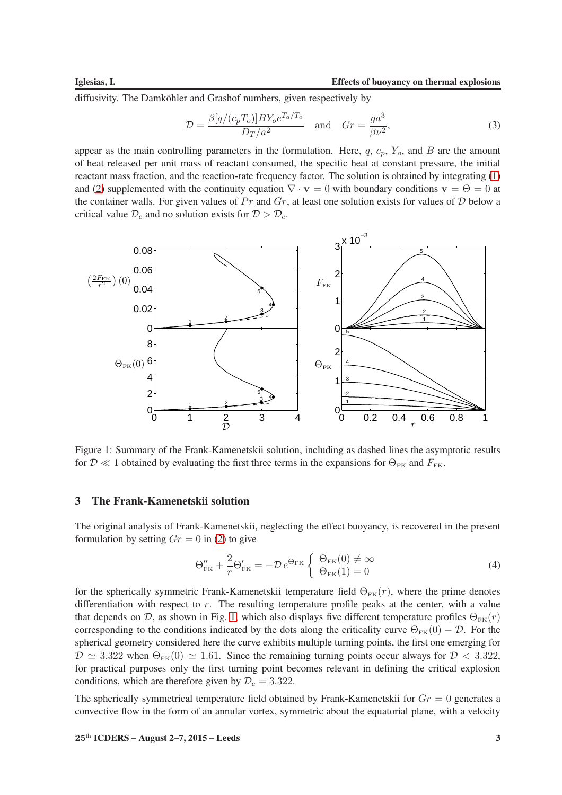diffusivity. The Damköhler and Grashof numbers, given respectively by

$$
\mathcal{D} = \frac{\beta[q/(c_p T_o)] B Y_o e^{T_a/T_o}}{D_T/a^2} \quad \text{and} \quad Gr = \frac{g a^3}{\beta \nu^2},\tag{3}
$$

appear as the main controlling parameters in the formulation. Here,  $q$ ,  $c_p$ ,  $Y_o$ , and  $B$  are the amount of heat released per unit mass of reactant consumed, the specific heat at constant pressure, the initial reactant mass fraction, and the reaction-rate frequency factor. The solution is obtained by integrating [\(1\)](#page-1-0) and [\(2\)](#page-1-0) supplemented with the continuity equation  $\nabla \cdot \mathbf{v} = 0$  with boundary conditions  $\mathbf{v} = \Theta = 0$  at the container walls. For given values of  $Pr$  and  $Gr$ , at least one solution exists for values of  $D$  below a critical value  $\mathcal{D}_c$  and no solution exists for  $\mathcal{D} > \mathcal{D}_c$ .



<span id="page-2-0"></span>Figure 1: Summary of the Frank-Kamenetskii solution, including as dashed lines the asymptotic results for  $\mathcal{D} \ll 1$  obtained by evaluating the first three terms in the expansions for  $\Theta_{FK}$  and  $F_{FK}$ .

# 3 The Frank-Kamenetskii solution

The original analysis of Frank-Kamenetskii, neglecting the effect buoyancy, is recovered in the present formulation by setting  $Gr = 0$  in [\(2\)](#page-1-0) to give

<span id="page-2-1"></span>
$$
\Theta_{\rm FK}'' + \frac{2}{r} \Theta_{\rm FK}' = -\mathcal{D} \, e^{\Theta_{\rm FK}} \left\{ \begin{array}{l} \Theta_{\rm FK}(0) \neq \infty \\ \Theta_{\rm FK}(1) = 0 \end{array} \right. \tag{4}
$$

for the spherically symmetric Frank-Kamenetskii temperature field  $\Theta_{FK}(r)$ , where the prime denotes differentiation with respect to  $r$ . The resulting temperature profile peaks at the center, with a value that depends on D, as shown in Fig. [1,](#page-2-0) which also displays five different temperature profiles  $\Theta_{FK}(r)$ corresponding to the conditions indicated by the dots along the criticality curve  $\Theta_{FK}(0) - \mathcal{D}$ . For the spherical geometry considered here the curve exhibits multiple turning points, the first one emerging for  $\mathcal{D} \simeq 3.322$  when  $\Theta_{FK}(0) \simeq 1.61$ . Since the remaining turning points occur always for  $\mathcal{D} < 3.322$ , for practical purposes only the first turning point becomes relevant in defining the critical explosion conditions, which are therefore given by  $\mathcal{D}_c = 3.322$ .

The spherically symmetrical temperature field obtained by Frank-Kamenetskii for  $Gr = 0$  generates a convective flow in the form of an annular vortex, symmetric about the equatorial plane, with a velocity

#### $25<sup>th</sup> ICDERS - August 2-7, 2015 - Leeds$  3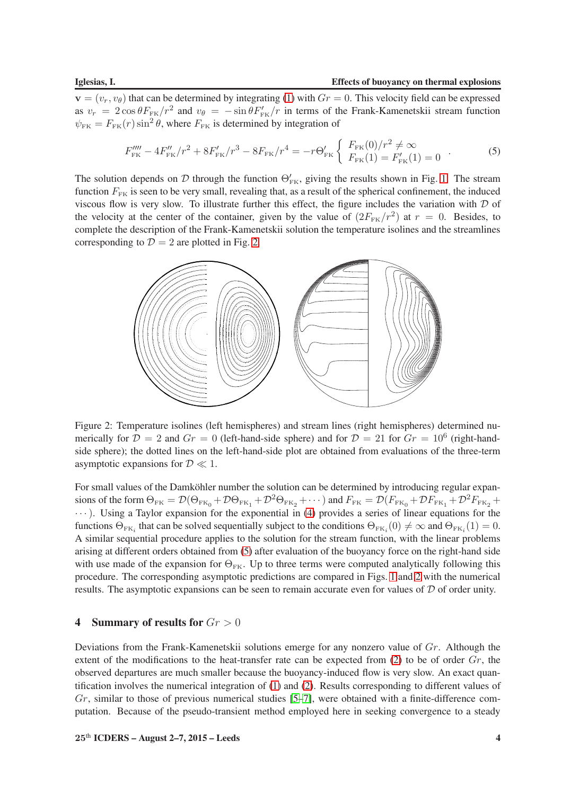${\bf v}=(v_r,v_\theta)$  that can be determined by integrating [\(1\)](#page-1-0) with  $Gr=0$ . This velocity field can be expressed as  $v_r = 2 \cos \theta F_{FK}/r^2$  and  $v_\theta = -\sin \theta F'_{FK}/r$  in terms of the Frank-Kamenetskii stream function  $\psi_{\text{FK}} = F_{\text{FK}}(r) \sin^2 \theta$ , where  $F_{\text{FK}}$  is determined by integration of

<span id="page-3-1"></span>
$$
F_{\text{FK}}''' - 4F_{\text{FK}}''/r^2 + 8F_{\text{FK}}' / r^3 - 8F_{\text{FK}}/r^4 = -r\Theta_{\text{FK}}' \left\{ \begin{array}{l} F_{\text{FK}}(0) / r^2 \neq \infty \\ F_{\text{FK}}(1) = F_{\text{FK}}'(1) = 0 \end{array} \right. \tag{5}
$$

The solution depends on D through the function  $\Theta_{\rm FK}^{\prime}$ , giving the results shown in Fig. [1.](#page-2-0) The stream function  $F_{FK}$  is seen to be very small, revealing that, as a result of the spherical confinement, the induced viscous flow is very slow. To illustrate further this effect, the figure includes the variation with  $D$  of the velocity at the center of the container, given by the value of  $(2F_{FK}/r^2)$  at  $r = 0$ . Besides, to complete the description of the Frank-Kamenetskii solution the temperature isolines and the streamlines corresponding to  $\mathcal{D} = 2$  are plotted in Fig. [2.](#page-3-0)



<span id="page-3-0"></span>Figure 2: Temperature isolines (left hemispheres) and stream lines (right hemispheres) determined numerically for  $\mathcal{D} = 2$  and  $Gr = 0$  (left-hand-side sphere) and for  $\mathcal{D} = 21$  for  $Gr = 10^6$  (right-handside sphere); the dotted lines on the left-hand-side plot are obtained from evaluations of the three-term asymptotic expansions for  $\mathcal{D} \ll 1$ .

For small values of the Damköhler number the solution can be determined by introducing regular expansions of the form  $\Theta_{FK} = \mathcal{D}(\Theta_{FK_0} + \mathcal{D}\Theta_{FK_1} + \mathcal{D}^2\Theta_{FK_2} + \cdots)$  and  $F_{FK} = \mathcal{D}(F_{FK_0} + \mathcal{D}F_{FK_1} + \mathcal{D}^2F_{FK_2} + \cdots)$ · · ·). Using a Taylor expansion for the exponential in [\(4\)](#page-2-1) provides a series of linear equations for the functions  $\Theta_{FK_i}$  that can be solved sequentially subject to the conditions  $\Theta_{FK_i}(0) \neq \infty$  and  $\Theta_{FK_i}(1) = 0$ . A similar sequential procedure applies to the solution for the stream function, with the linear problems arising at different orders obtained from [\(5\)](#page-3-1) after evaluation of the buoyancy force on the right-hand side with use made of the expansion for  $\Theta_{FK}$ . Up to three terms were computed analytically following this procedure. The corresponding asymptotic predictions are compared in Figs. [1](#page-2-0) and [2](#page-3-0) with the numerical results. The asymptotic expansions can be seen to remain accurate even for values of  $D$  of order unity.

### 4 Summary of results for  $Gr > 0$

Deviations from the Frank-Kamenetskii solutions emerge for any nonzero value of  $Gr$ . Although the extent of the modifications to the heat-transfer rate can be expected from  $(2)$  to be of order  $Gr$ , the observed departures are much smaller because the buoyancy-induced flow is very slow. An exact quantification involves the numerical integration of [\(1\)](#page-1-0) and [\(2\)](#page-1-0). Results corresponding to different values of  $Gr$ , similar to those of previous numerical studies  $[5-7]$ , were obtained with a finite-difference computation. Because of the pseudo-transient method employed here in seeking convergence to a steady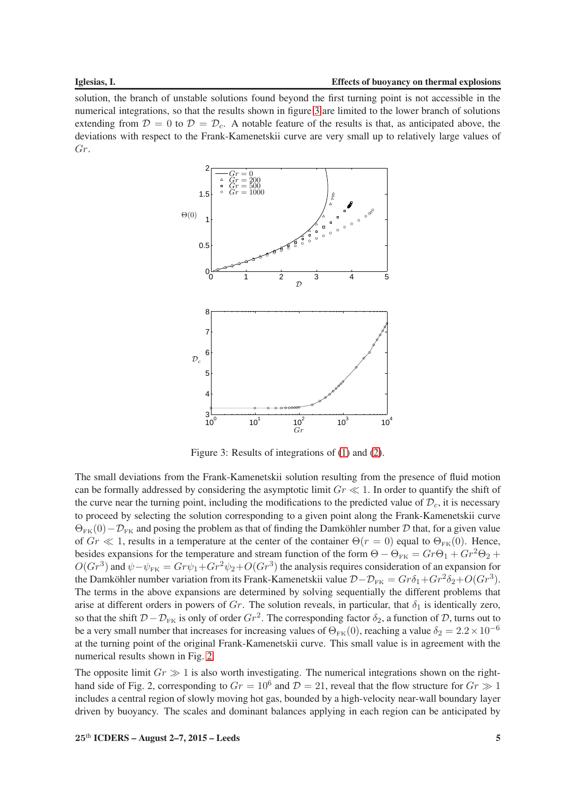solution, the branch of unstable solutions found beyond the first turning point is not accessible in the numerical integrations, so that the results shown in figure [3](#page-4-0) are limited to the lower branch of solutions extending from  $\mathcal{D} = 0$  to  $\mathcal{D} = \mathcal{D}_c$ . A notable feature of the results is that, as anticipated above, the deviations with respect to the Frank-Kamenetskii curve are very small up to relatively large values of Gr.



<span id="page-4-0"></span>Figure 3: Results of integrations of [\(1\)](#page-1-0) and [\(2\)](#page-1-0).

The small deviations from the Frank-Kamenetskii solution resulting from the presence of fluid motion can be formally addressed by considering the asymptotic limit  $Gr \ll 1$ . In order to quantify the shift of the curve near the turning point, including the modifications to the predicted value of  $\mathcal{D}_c$ , it is necessary to proceed by selecting the solution corresponding to a given point along the Frank-Kamenetskii curve  $\Theta_{FK}(0)-\mathcal{D}_{FK}$  and posing the problem as that of finding the Damköhler number D that, for a given value of  $Gr \ll 1$ , results in a temperature at the center of the container  $\Theta(r=0)$  equal to  $\Theta_{FK}(0)$ . Hence, besides expansions for the temperature and stream function of the form  $\Theta - \Theta_{FK} = Gr \Theta_1 + Gr^2 \Theta_2 +$  $O(Gr^3)$  and  $\psi - \psi_{FK} = Gr\psi_1 + Gr^2\psi_2 + O(Gr^3)$  the analysis requires consideration of an expansion for the Damköhler number variation from its Frank-Kamenetskii value  $\mathcal{D}-\mathcal{D}_{FK} = Gr \delta_1 + Gr^2 \delta_2 + O(Gr^3)$ . The terms in the above expansions are determined by solving sequentially the different problems that arise at different orders in powers of Gr. The solution reveals, in particular, that  $\delta_1$  is identically zero, so that the shift  $D - D_{FK}$  is only of order  $Gr^2$ . The corresponding factor  $\delta_2$ , a function of D, turns out to be a very small number that increases for increasing values of  $\Theta_{FK}(0)$ , reaching a value  $\delta_2 = 2.2 \times 10^{-6}$ at the turning point of the original Frank-Kamenetskii curve. This small value is in agreement with the numerical results shown in Fig. [2.](#page-3-0)

The opposite limit  $Gr \gg 1$  is also worth investigating. The numerical integrations shown on the righthand side of Fig. 2, corresponding to  $Gr = 10^6$  and  $\overline{D} = 21$ , reveal that the flow structure for  $Gr \gg 1$ includes a central region of slowly moving hot gas, bounded by a high-velocity near-wall boundary layer driven by buoyancy. The scales and dominant balances applying in each region can be anticipated by